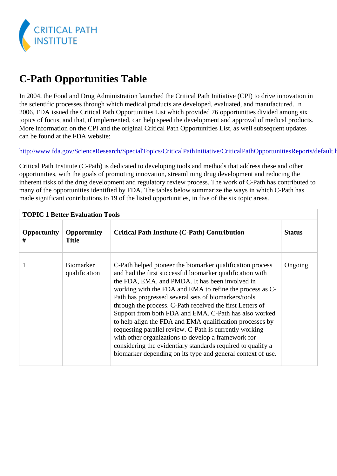## C-Path Opportunities Table

In 2004, the Food and Drug Administration launched the Critical Path Initiative (CPI) to drive innovation in the scientific processes through which medical products are developed, evaluated, and manufactured. In 2006, FDA issued the Critical Path Opportunities List which provided 76 opportunities divided among six topics of focus, and that, if implemented, can help speed the development and approval of medical produc More information on the CPI and the original Critical Path Opportunities List, as well subsequent updates can be found at the FDA website:

http://www.fda.gov/ScienceResearch/SpecialTopics/CriticalPathInitiative/CriticalPathOpportunitiesReports

Critical Path Institute (C-Path) is dedicated to developing tools and methods that address these and other opportunities, with the goals of promoting innovation, streamlining drug development and reducing the inherent risks of the drug development and regulatory review process. The work of C-Path has contributed many of the opportunities identified by FDA. The tables below summarize the ways in which C-Path has made significant contributions to 19 of the listed opportunities, in five of the six topic areas.

| <b>TOPIC 1 Better Evaluation Tools</b> |                                   |                                                                                                                                                                                                                                                                                                                                                                                                                                                                                                                                                                                                                                                                                                                                         |               |  |  |
|----------------------------------------|-----------------------------------|-----------------------------------------------------------------------------------------------------------------------------------------------------------------------------------------------------------------------------------------------------------------------------------------------------------------------------------------------------------------------------------------------------------------------------------------------------------------------------------------------------------------------------------------------------------------------------------------------------------------------------------------------------------------------------------------------------------------------------------------|---------------|--|--|
| Opportunity<br>#                       | Opportunity<br>Title              | Critical Path Institute (C-Path) Contribution                                                                                                                                                                                                                                                                                                                                                                                                                                                                                                                                                                                                                                                                                           | <b>Status</b> |  |  |
|                                        | <b>Biomarker</b><br>qualification | C-Path helped pioneer the biomarker qualification proces Songoing<br>and had the first successful biomarker qualification with<br>the FDA, EMA, and PMDA. It has been involved in<br>working with the FDA and EMA to refine the process as C-<br>Path has progressed several sets of biomarkers/tools<br>through the process. C-Path received the first Letters of<br>Support from both FDA and EMA. C-Path has also worked<br>to help align the FDA and EMA qualification processes by<br>requesting parallel review. C-Path is currently working<br>with other organizations to develop a framework for<br>considering the evidentiary standards required to qualify a<br>biomarker depending on its type and general context of use. |               |  |  |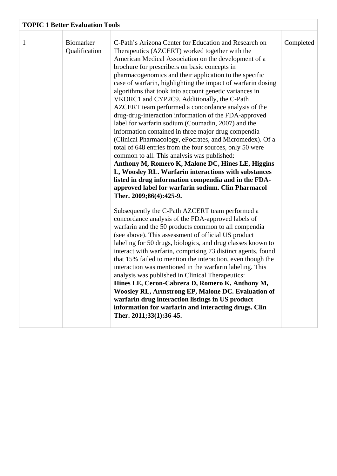| <b>TOPIC 1 Better Evaluation Tools</b> |                                   |                                                                                                                                                                                                                                                                                                                                                                                                                                                                                                                                                                                                                                                                                                                                                                                                                                                                                                                                                                                                                                                                                                                                                                                                                                                                                                                                                                                                                                                                                                                                                                                                                                                                                                                                                                                                                                                                                                     |           |  |  |
|----------------------------------------|-----------------------------------|-----------------------------------------------------------------------------------------------------------------------------------------------------------------------------------------------------------------------------------------------------------------------------------------------------------------------------------------------------------------------------------------------------------------------------------------------------------------------------------------------------------------------------------------------------------------------------------------------------------------------------------------------------------------------------------------------------------------------------------------------------------------------------------------------------------------------------------------------------------------------------------------------------------------------------------------------------------------------------------------------------------------------------------------------------------------------------------------------------------------------------------------------------------------------------------------------------------------------------------------------------------------------------------------------------------------------------------------------------------------------------------------------------------------------------------------------------------------------------------------------------------------------------------------------------------------------------------------------------------------------------------------------------------------------------------------------------------------------------------------------------------------------------------------------------------------------------------------------------------------------------------------------------|-----------|--|--|
| $\mathbf{1}$                           | <b>Biomarker</b><br>Qualification | C-Path's Arizona Center for Education and Research on<br>Therapeutics (AZCERT) worked together with the<br>American Medical Association on the development of a<br>brochure for prescribers on basic concepts in<br>pharmacogenomics and their application to the specific<br>case of warfarin, highlighting the impact of warfarin dosing<br>algorithms that took into account genetic variances in<br>VKORC1 and CYP2C9. Additionally, the C-Path<br>AZCERT team performed a concordance analysis of the<br>drug-drug-interaction information of the FDA-approved<br>label for warfarin sodium (Coumadin, 2007) and the<br>information contained in three major drug compendia<br>(Clinical Pharmacology, ePocrates, and Micromedex). Of a<br>total of 648 entries from the four sources, only 50 were<br>common to all. This analysis was published:<br>Anthony M, Romero K, Malone DC, Hines LE, Higgins<br>L, Woosley RL. Warfarin interactions with substances<br>listed in drug information compendia and in the FDA-<br>approved label for warfarin sodium. Clin Pharmacol<br>Ther. 2009;86(4):425-9.<br>Subsequently the C-Path AZCERT team performed a<br>concordance analysis of the FDA-approved labels of<br>warfarin and the 50 products common to all compendia<br>(see above). This assessment of official US product<br>labeling for 50 drugs, biologics, and drug classes known to<br>interact with warfarin, comprising 73 distinct agents, found<br>that 15% failed to mention the interaction, even though the<br>interaction was mentioned in the warfarin labeling. This<br>analysis was published in Clinical Therapeutics:<br>Hines LE, Ceron-Cabrera D, Romero K, Anthony M,<br>Woosley RL, Armstrong EP, Malone DC. Evaluation of<br>warfarin drug interaction listings in US product<br>information for warfarin and interacting drugs. Clin<br>Ther. 2011;33(1):36-45. | Completed |  |  |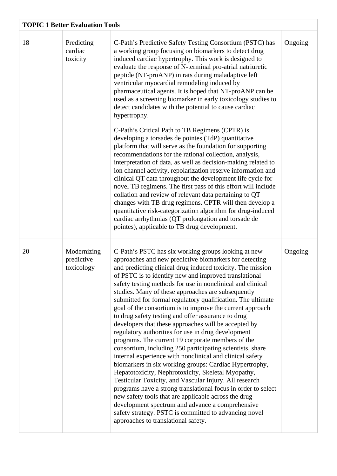| <b>TOPIC 1 Better Evaluation Tools</b> |                                         |                                                                                                                                                                                                                                                                                                                                                                                                                                                                                                                                                                                                                                                                                                                                                                                                                                                                                                                                                                                                                                                                                                                                                                                                                                                                                               |         |  |
|----------------------------------------|-----------------------------------------|-----------------------------------------------------------------------------------------------------------------------------------------------------------------------------------------------------------------------------------------------------------------------------------------------------------------------------------------------------------------------------------------------------------------------------------------------------------------------------------------------------------------------------------------------------------------------------------------------------------------------------------------------------------------------------------------------------------------------------------------------------------------------------------------------------------------------------------------------------------------------------------------------------------------------------------------------------------------------------------------------------------------------------------------------------------------------------------------------------------------------------------------------------------------------------------------------------------------------------------------------------------------------------------------------|---------|--|
| 18                                     | Predicting<br>cardiac<br>toxicity       | C-Path's Predictive Safety Testing Consortium (PSTC) has<br>a working group focusing on biomarkers to detect drug<br>induced cardiac hypertrophy. This work is designed to<br>evaluate the response of N-terminal pro-atrial natriuretic<br>peptide (NT-proANP) in rats during maladaptive left<br>ventricular myocardial remodeling induced by<br>pharmaceutical agents. It is hoped that NT-proANP can be<br>used as a screening biomarker in early toxicology studies to<br>detect candidates with the potential to cause cardiac<br>hypertrophy.                                                                                                                                                                                                                                                                                                                                                                                                                                                                                                                                                                                                                                                                                                                                          | Ongoing |  |
|                                        |                                         | C-Path's Critical Path to TB Regimens (CPTR) is<br>developing a torsades de pointes (TdP) quantitative<br>platform that will serve as the foundation for supporting<br>recommendations for the rational collection, analysis,<br>interpretation of data, as well as decision-making related to<br>ion channel activity, repolarization reserve information and<br>clinical QT data throughout the development life cycle for<br>novel TB regimens. The first pass of this effort will include<br>collation and review of relevant data pertaining to QT<br>changes with TB drug regimens. CPTR will then develop a<br>quantitative risk-categorization algorithm for drug-induced<br>cardiac arrhythmias (QT prolongation and torsade de<br>pointes), applicable to TB drug development.                                                                                                                                                                                                                                                                                                                                                                                                                                                                                                      |         |  |
| 20                                     | Modernizing<br>predictive<br>toxicology | C-Path's PSTC has six working groups looking at new<br>approaches and new predictive biomarkers for detecting<br>and predicting clinical drug induced toxicity. The mission<br>of PSTC is to identify new and improved translational<br>safety testing methods for use in nonclinical and clinical<br>studies. Many of these approaches are subsequently<br>submitted for formal regulatory qualification. The ultimate<br>goal of the consortium is to improve the current approach<br>to drug safety testing and offer assurance to drug<br>developers that these approaches will be accepted by<br>regulatory authorities for use in drug development<br>programs. The current 19 corporate members of the<br>consortium, including 250 participating scientists, share<br>internal experience with nonclinical and clinical safety<br>biomarkers in six working groups: Cardiac Hypertrophy,<br>Hepatotoxicity, Nephrotoxicity, Skeletal Myopathy,<br>Testicular Toxicity, and Vascular Injury. All research<br>programs have a strong translational focus in order to select<br>new safety tools that are applicable across the drug<br>development spectrum and advance a comprehensive<br>safety strategy. PSTC is committed to advancing novel<br>approaches to translational safety. | Ongoing |  |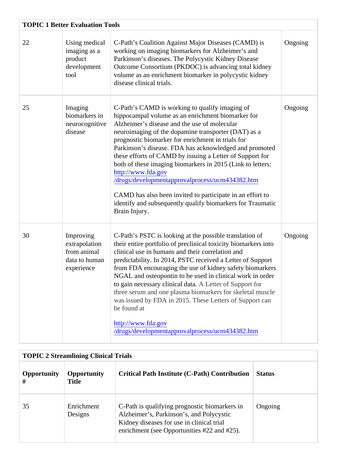| <b>TOPIC 1 Better Evaluation Tools</b> |                                                                          |                                                                                                                                                                                                                                                                                                                                                                                                                                                                                                                                                                                                                                                                          |         |  |
|----------------------------------------|--------------------------------------------------------------------------|--------------------------------------------------------------------------------------------------------------------------------------------------------------------------------------------------------------------------------------------------------------------------------------------------------------------------------------------------------------------------------------------------------------------------------------------------------------------------------------------------------------------------------------------------------------------------------------------------------------------------------------------------------------------------|---------|--|
| 22                                     | Using medical<br>imaging as a<br>product<br>development<br>tool          | C-Path's Coalition Against Major Diseases (CAMD) is<br>working on imaging biomarkers for Alzheimer's and<br>Parkinson's diseases. The Polycystic Kidney Disease<br>Outcome Consortium (PKDOC) is advancing total kidney<br>volume as an enrichment biomarker in polycystic kidney<br>disease clinical trials.                                                                                                                                                                                                                                                                                                                                                            | Ongoing |  |
| 25                                     | Imaging<br>biomarkers in<br>neurocognitive<br>disease                    | C-Path's CAMD is working to qualify imaging of<br>hippocampal volume as an enrichment biomarker for<br>Alzheimer's disease and the use of molecular<br>neuroimaging of the dopamine transporter (DAT) as a<br>prognostic biomarker for enrichment in trials for<br>Parkinson's disease. FDA has acknowledged and promoted<br>these efforts of CAMD by issuing a Letter of Support for<br>both of these imaging biomarkers in 2015 (Link to letters:<br>http://www.fda.gov<br>/drugs/developmentapprovalprocess/ucm434382.htm<br>CAMD has also been invited to participate in an effort to<br>identify and subsequently qualify biomarkers for Traumatic<br>Brain Injury. | Ongoing |  |
| 30                                     | Improving<br>extrapolation<br>from animal<br>data to human<br>experience | C-Path's PSTC is looking at the possible translation of<br>their entire portfolio of preclinical toxicity biomarkers into<br>clinical use in humans and their correlation and<br>predictability. In 2014, PSTC received a Letter of Support<br>from FDA encouraging the use of kidney safety biomarkers<br>NGAL and osteopontin to be used in clinical work in order<br>to gain necessary clinical data Letter of Support for<br>three serum and one plasma biomarkers for skeletal muscle<br>was issued by FDA in 2015. These Letters of Support can<br>be found at<br>http://www.fda.gov<br>/drugs/developmentapprovalprocess/ucm434382.htm                            | Ongoing |  |

| <b>TOPIC 2 Streamlining Clinical Trials</b> |                       |                                                                                                                                                                                               |               |  |
|---------------------------------------------|-----------------------|-----------------------------------------------------------------------------------------------------------------------------------------------------------------------------------------------|---------------|--|
| Opportunity<br>#                            | Opportunity<br>Title  | Critical Path Institute (C-Path) Contribution                                                                                                                                                 | <b>Status</b> |  |
| 35                                          | Enrichment<br>Designs | C-Path is qualifying prognostic biomarkers in Ongoing<br>Alzheimer's, Parkinson's, and Polycystic<br>Kidney diseases for use in clinical trial<br>enrichment (see Opportunities #22 and #25). |               |  |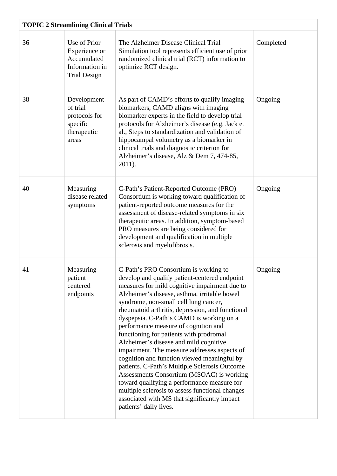| <b>TOPIC 2 Streamlining Clinical Trials</b> |                                                                                       |                                                                                                                                                                                                                                                                                                                                                                                                                                                                                                                                                                                                                                                                                                                                                                                                                                        |           |  |
|---------------------------------------------|---------------------------------------------------------------------------------------|----------------------------------------------------------------------------------------------------------------------------------------------------------------------------------------------------------------------------------------------------------------------------------------------------------------------------------------------------------------------------------------------------------------------------------------------------------------------------------------------------------------------------------------------------------------------------------------------------------------------------------------------------------------------------------------------------------------------------------------------------------------------------------------------------------------------------------------|-----------|--|
| 36                                          | Use of Prior<br>Experience or<br>Accumulated<br>Information in<br><b>Trial Design</b> | The Alzheimer Disease Clinical Trial<br>Simulation tool represents efficient use of prior<br>randomized clinical trial (RCT) information to<br>optimize RCT design.                                                                                                                                                                                                                                                                                                                                                                                                                                                                                                                                                                                                                                                                    | Completed |  |
| 38                                          | Development<br>of trial<br>protocols for<br>specific<br>therapeutic<br>areas          | As part of CAMD's efforts to qualify imaging<br>biomarkers, CAMD aligns with imaging<br>biomarker experts in the field to develop trial<br>protocols for Alzheimer's disease (e.g. Jack et<br>al., Steps to standardization and validation of<br>hippocampal volumetry as a biomarker in<br>clinical trials and diagnostic criterion for<br>Alzheimer's disease, Alz & Dem 7, 474-85,<br>2011).                                                                                                                                                                                                                                                                                                                                                                                                                                        | Ongoing   |  |
| 40                                          | Measuring<br>disease related<br>symptoms                                              | C-Path's Patient-Reported Outcome (PRO)<br>Consortium is working toward qualification of<br>patient-reported outcome measures for the<br>assessment of disease-related symptoms in six<br>therapeutic areas. In addition, symptom-based<br>PRO measures are being considered for<br>development and qualification in multiple<br>sclerosis and myelofibrosis.                                                                                                                                                                                                                                                                                                                                                                                                                                                                          | Ongoing   |  |
| 41                                          | Measuring<br>patient<br>centered<br>endpoints                                         | C-Path's PRO Consortium is working to<br>develop and qualify patient-centered endpoint<br>measures for mild cognitive impairment due to<br>Alzheimer's disease, asthma, irritable bowel<br>syndrome, non-small cell lung cancer,<br>rheumatoid arthritis, depression, and functional<br>dyspepsia. C-Path's CAMD is working on a<br>performance measure of cognition and<br>functioning for patients with prodromal<br>Alzheimer's disease and mild cognitive<br>impairment. The measure addresses aspects of<br>cognition and function viewed meaningful by<br>patients. C-Path's Multiple Sclerosis Outcome<br>Assessments Consortium (MSOAC) is working<br>toward qualifying a performance measure for<br>multiple sclerosis to assess functional changes<br>associated with MS that significantly impact<br>patients' daily lives. | Ongoing   |  |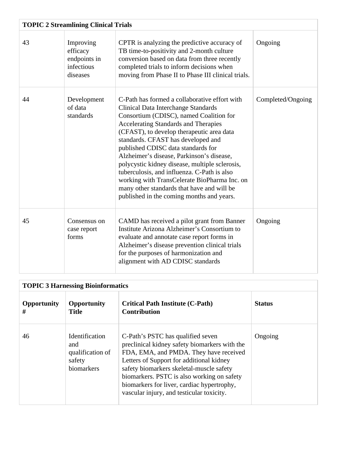| <b>TOPIC 2 Streamlining Clinical Trials</b> |                                                                 |                                                                                                                                                                                                                                                                                                                                                                                                                                                                                                                                                                                                         |                   |  |
|---------------------------------------------|-----------------------------------------------------------------|---------------------------------------------------------------------------------------------------------------------------------------------------------------------------------------------------------------------------------------------------------------------------------------------------------------------------------------------------------------------------------------------------------------------------------------------------------------------------------------------------------------------------------------------------------------------------------------------------------|-------------------|--|
| 43                                          | Improving<br>efficacy<br>endpoints in<br>infectious<br>diseases | CPTR is analyzing the predictive accuracy of<br>TB time-to-positivity and 2-month culture<br>conversion based on data from three recently<br>completed trials to inform decisions when<br>moving from Phase II to Phase III clinical trials.                                                                                                                                                                                                                                                                                                                                                            | Ongoing           |  |
| 44                                          | Development<br>of data<br>standards                             | C-Path has formed a collaborative effort with<br><b>Clinical Data Interchange Standards</b><br>Consortium (CDISC), named Coalition for<br><b>Accelerating Standards and Therapies</b><br>(CFAST), to develop therapeutic area data<br>standards. CFAST has developed and<br>published CDISC data standards for<br>Alzheimer's disease, Parkinson's disease,<br>polycystic kidney disease, multiple sclerosis,<br>tuberculosis, and influenza. C-Path is also<br>working with TransCelerate BioPharma Inc. on<br>many other standards that have and will be<br>published in the coming months and years. | Completed/Ongoing |  |
| 45                                          | Consensus on<br>case report<br>forms                            | CAMD has received a pilot grant from Banner<br>Institute Arizona Alzheimer's Consortium to<br>evaluate and annotate case report forms in<br>Alzheimer's disease prevention clinical trials<br>for the purposes of harmonization and<br>alignment with AD CDISC standards                                                                                                                                                                                                                                                                                                                                | Ongoing           |  |

| <b>TOPIC 3 Harnessing Bioinformatics</b> |                                                                          |                                                                                                                                                                                                                                                                                                                                                               |               |  |
|------------------------------------------|--------------------------------------------------------------------------|---------------------------------------------------------------------------------------------------------------------------------------------------------------------------------------------------------------------------------------------------------------------------------------------------------------------------------------------------------------|---------------|--|
| <b>Opportunity</b><br>#                  | <b>Opportunity</b><br><b>Title</b>                                       | <b>Critical Path Institute (C-Path)</b><br><b>Contribution</b>                                                                                                                                                                                                                                                                                                | <b>Status</b> |  |
| 46                                       | <b>Identification</b><br>and<br>qualification of<br>safety<br>biomarkers | C-Path's PSTC has qualified seven<br>preclinical kidney safety biomarkers with the<br>FDA, EMA, and PMDA. They have received<br>Letters of Support for additional kidney<br>safety biomarkers skeletal-muscle safety<br>biomarkers. PSTC is also working on safety<br>biomarkers for liver, cardiac hypertrophy,<br>vascular injury, and testicular toxicity. | Ongoing       |  |